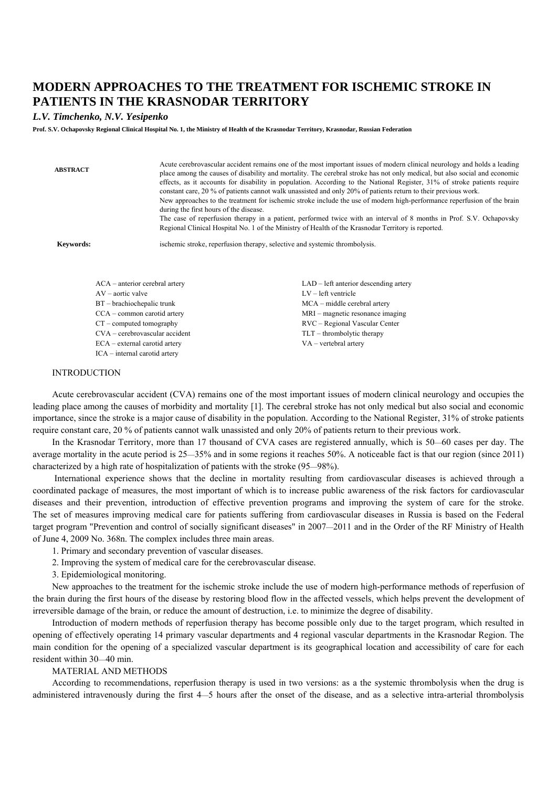## **MODERN APPROACHES TO THE TREATMENT FOR ISCHEMIC STROKE IN PATIENTS IN THE KRASNODAR TERRITORY**

## *L.V. Timchenko, N.V. Yesipenko*

**Prof. S.V. Ochapovsky Regional Clinical Hospital No. 1, the Ministry of Health of the Krasnodar Territory, Krasnodar, Russian Federation** 

| <b>ABSTRACT</b>                  | during the first hours of the disease. | Acute cerebrovascular accident remains one of the most important issues of modern clinical neurology and holds a leading<br>place among the causes of disability and mortality. The cerebral stroke has not only medical, but also social and economic<br>effects, as it accounts for disability in population. According to the National Register, 31% of stroke patients require<br>constant care, 20 % of patients cannot walk unassisted and only 20% of patients return to their previous work.<br>New approaches to the treatment for ischemic stroke include the use of modern high-performance reperfusion of the brain<br>The case of reperfusion therapy in a patient, performed twice with an interval of 8 months in Prof. S.V. Ochapovsky<br>Regional Clinical Hospital No. 1 of the Ministry of Health of the Krasnodar Territory is reported. |
|----------------------------------|----------------------------------------|--------------------------------------------------------------------------------------------------------------------------------------------------------------------------------------------------------------------------------------------------------------------------------------------------------------------------------------------------------------------------------------------------------------------------------------------------------------------------------------------------------------------------------------------------------------------------------------------------------------------------------------------------------------------------------------------------------------------------------------------------------------------------------------------------------------------------------------------------------------|
| Keywords:                        |                                        | ischemic stroke, reperfusion therapy, selective and systemic thrombolysis.                                                                                                                                                                                                                                                                                                                                                                                                                                                                                                                                                                                                                                                                                                                                                                                   |
| $ACA$ – anterior cerebral artery |                                        | $LAD - left$ anterior descending artery                                                                                                                                                                                                                                                                                                                                                                                                                                                                                                                                                                                                                                                                                                                                                                                                                      |
| $AV - aortic value$              |                                        | $LV$ – left ventricle                                                                                                                                                                                                                                                                                                                                                                                                                                                                                                                                                                                                                                                                                                                                                                                                                                        |
| $BT - brachiochepalic$ trunk     |                                        | MCA – middle cerebral artery                                                                                                                                                                                                                                                                                                                                                                                                                                                                                                                                                                                                                                                                                                                                                                                                                                 |
| CCA – common carotid artery      |                                        | MRI – magnetic resonance imaging                                                                                                                                                                                                                                                                                                                                                                                                                                                                                                                                                                                                                                                                                                                                                                                                                             |

RVC – Regional Vascular Center TLT – thrombolytic therapy VA – vertebral artery

**INTRODUCTION** 

CT – computed tomography CVA – cerebrovascular accident ECA – external carotid artery ICA – internal carotid artery

Acute cerebrovascular accident (CVA) remains one of the most important issues of modern clinical neurology and occupies the leading place among the causes of morbidity and mortality [1]. The cerebral stroke has not only medical but also social and economic importance, since the stroke is a major cause of disability in the population. According to the National Register, 31% of stroke patients require constant care, 20 % of patients cannot walk unassisted and only 20% of patients return to their previous work.

In the Krasnodar Territory, more than 17 thousand of CVA cases are registered annually, which is 50—60 cases per day. The average mortality in the acute period is 25—35% and in some regions it reaches 50%. A noticeable fact is that our region (since 2011) characterized by a high rate of hospitalization of patients with the stroke (95—98%).

 International experience shows that the decline in mortality resulting from cardiovascular diseases is achieved through a coordinated package of measures, the most important of which is to increase public awareness of the risk factors for cardiovascular diseases and their prevention, introduction of effective prevention programs and improving the system of care for the stroke. The set of measures improving medical care for patients suffering from cardiovascular diseases in Russia is based on the Federal target program "Prevention and control of socially significant diseases" in 2007—2011 and in the Order of the RF Ministry of Health of June 4, 2009 No. 368n. The complex includes three main areas.

1. Primary and secondary prevention of vascular diseases.

2. Improving the system of medical care for the cerebrovascular disease.

3. Epidemiological monitoring.

New approaches to the treatment for the ischemic stroke include the use of modern high-performance methods of reperfusion of the brain during the first hours of the disease by restoring blood flow in the affected vessels, which helps prevent the development of irreversible damage of the brain, or reduce the amount of destruction, i.e. to minimize the degree of disability.

Introduction of modern methods of reperfusion therapy has become possible only due to the target program, which resulted in opening of effectively operating 14 primary vascular departments and 4 regional vascular departments in the Krasnodar Region. The main condition for the opening of a specialized vascular department is its geographical location and accessibility of care for each resident within 30—40 min.

## MATERIAL AND METHODS

According to recommendations, reperfusion therapy is used in two versions: as a the systemic thrombolysis when the drug is administered intravenously during the first 4—5 hours after the onset of the disease, and as a selective intra-arterial thrombolysis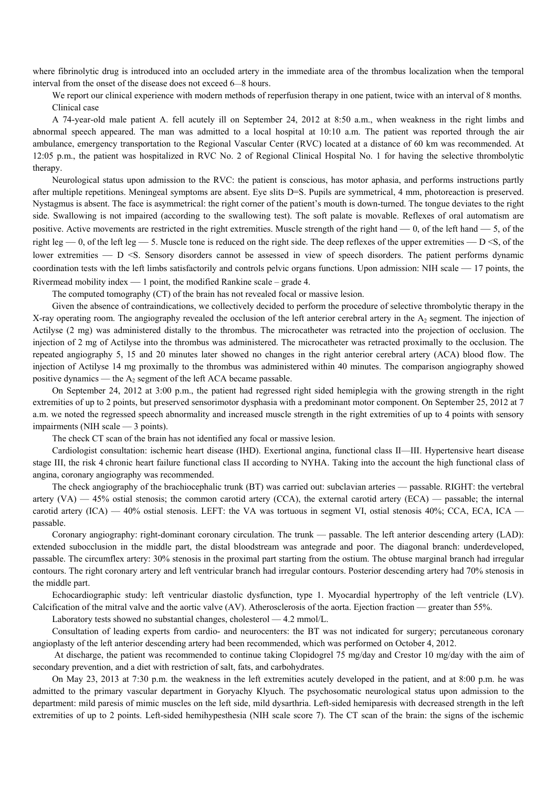where fibrinolytic drug is introduced into an occluded artery in the immediate area of the thrombus localization when the temporal interval from the onset of the disease does not exceed 6—8 hours.

We report our clinical experience with modern methods of reperfusion therapy in one patient, twice with an interval of 8 months. Clinical case

A 74-year-old male patient A. fell acutely ill on September 24, 2012 at 8:50 a.m., when weakness in the right limbs and abnormal speech appeared. The man was admitted to a local hospital at 10:10 a.m. The patient was reported through the air ambulance, emergency transportation to the Regional Vascular Center (RVC) located at a distance of 60 km was recommended. At 12:05 p.m., the patient was hospitalized in RVC No. 2 of Regional Clinical Hospital No. 1 for having the selective thrombolytic therapy.

Neurological status upon admission to the RVC: the patient is conscious, has motor aphasia, and performs instructions partly after multiple repetitions. Meningeal symptoms are absent. Eye slits D=S. Pupils are symmetrical, 4 mm, photoreaction is preserved. Nystagmus is absent. The face is asymmetrical: the right corner of the patient's mouth is down-turned. The tongue deviates to the right side. Swallowing is not impaired (according to the swallowing test). The soft palate is movable. Reflexes of oral automatism are positive. Active movements are restricted in the right extremities. Muscle strength of the right hand — 0, of the left hand — 5, of the right leg — 0, of the left leg — 5. Muscle tone is reduced on the right side. The deep reflexes of the upper extremities —  $D \le S$ , of the lower extremities — D <S. Sensory disorders cannot be assessed in view of speech disorders. The patient performs dynamic coordination tests with the left limbs satisfactorily and controls pelvic organs functions. Upon admission: NIH scale — 17 points, the Rivermead mobility index  $-1$  point, the modified Rankine scale – grade 4.

The computed tomography (CT) of the brain has not revealed focal or massive lesion.

Given the absence of contraindications, we collectively decided to perform the procedure of selective thrombolytic therapy in the X-ray operating room. The angiography revealed the occlusion of the left anterior cerebral artery in the  $A<sub>2</sub>$  segment. The injection of Actilyse (2 mg) was administered distally to the thrombus. The microcatheter was retracted into the projection of occlusion. The injection of 2 mg of Actilyse into the thrombus was administered. The microcatheter was retracted proximally to the occlusion. The repeated angiography 5, 15 and 20 minutes later showed no changes in the right anterior cerebral artery (ACA) blood flow. The injection of Actilyse 14 mg proximally to the thrombus was administered within 40 minutes. The comparison angiography showed positive dynamics — the  $A_2$  segment of the left ACA became passable.

On September 24, 2012 at 3:00 p.m., the patient had regressed right sided hemiplegia with the growing strength in the right extremities of up to 2 points, but preserved sensorimotor dysphasia with a predominant motor component. On September 25, 2012 at 7 a.m. we noted the regressed speech abnormality and increased muscle strength in the right extremities of up to 4 points with sensory impairments (NIH scale — 3 points).

The check CT scan of the brain has not identified any focal or massive lesion.

Cardiologist consultation: ischemic heart disease (IHD). Exertional angina, functional class II—III. Hypertensive heart disease stage III, the risk 4 chronic heart failure functional class II according to NYHA. Taking into the account the high functional class of angina, coronary angiography was recommended.

The check angiography of the brachiocephalic trunk (BT) was carried out: subclavian arteries — passable. RIGHT: the vertebral artery  $(VA)$  — 45% ostial stenosis; the common carotid artery  $(CCA)$ , the external carotid artery  $(ECA)$  — passable; the internal carotid artery (ICA) — 40% ostial stenosis. LEFT: the VA was tortuous in segment VI, ostial stenosis 40%; CCA, ECA, ICA passable.

Coronary angiography: right-dominant coronary circulation. The trunk — passable. The left anterior descending artery (LAD): extended subocclusion in the middle part, the distal bloodstream was antegrade and poor. The diagonal branch: underdeveloped, passable. The circumflex artery: 30% stenosis in the proximal part starting from the ostium. The obtuse marginal branch had irregular contours. The right coronary artery and left ventricular branch had irregular contours. Posterior descending artery had 70% stenosis in the middle part.

Echocardiographic study: left ventricular diastolic dysfunction, type 1. Myocardial hypertrophy of the left ventricle (LV). Calcification of the mitral valve and the aortic valve (AV). Atherosclerosis of the aorta. Ejection fraction — greater than 55%.

Laboratory tests showed no substantial changes, cholesterol — 4.2 mmol/L.

Consultation of leading experts from cardio- and neurocenters: the BT was not indicated for surgery; percutaneous coronary angioplasty of the left anterior descending artery had been recommended, which was performed on October 4, 2012.

 At discharge, the patient was recommended to continue taking Clopidogrel 75 mg/day and Crestor 10 mg/day with the aim of secondary prevention, and a diet with restriction of salt, fats, and carbohydrates.

On May 23, 2013 at 7:30 p.m. the weakness in the left extremities acutely developed in the patient, and at 8:00 p.m. he was admitted to the primary vascular department in Goryachy Klyuch. The psychosomatic neurological status upon admission to the department: mild paresis of mimic muscles on the left side, mild dysarthria. Left-sided hemiparesis with decreased strength in the left extremities of up to 2 points. Left-sided hemihypesthesia (NIH scale score 7). The CT scan of the brain: the signs of the ischemic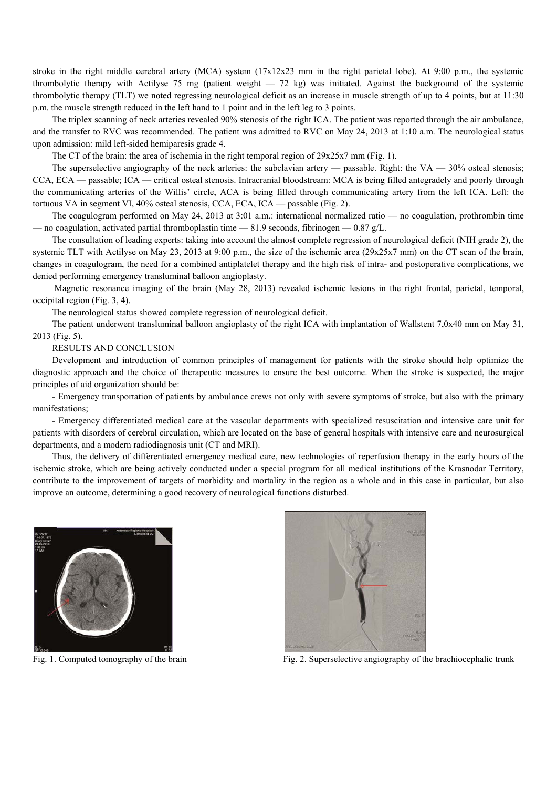stroke in the right middle cerebral artery (MCA) system (17x12x23 mm in the right parietal lobe). At 9:00 p.m., the systemic thrombolytic therapy with Actilyse 75 mg (patient weight  $-$  72 kg) was initiated. Against the background of the systemic thrombolytic therapy (TLT) we noted regressing neurological deficit as an increase in muscle strength of up to 4 points, but at 11:30 p.m. the muscle strength reduced in the left hand to 1 point and in the left leg to 3 points.

The triplex scanning of neck arteries revealed 90% stenosis of the right ICA. The patient was reported through the air ambulance, and the transfer to RVC was recommended. The patient was admitted to RVC on May 24, 2013 at 1:10 a.m. The neurological status upon admission: mild left-sided hemiparesis grade 4.

The CT of the brain: the area of ischemia in the right temporal region of 29x25x7 mm (Fig. 1).

The superselective angiography of the neck arteries: the subclavian artery — passable. Right: the VA  $-$  30% osteal stenosis; CCA, ECA — passable; ICA — critical osteal stenosis. Intracranial bloodstream: MCA is being filled antegradely and poorly through the communicating arteries of the Willis' circle, ACA is being filled through communicating artery from the left ICA. Left: the tortuous VA in segment VI, 40% osteal stenosis, CCA, ECA, ICA — passable (Fig. 2).

The coagulogram performed on May 24, 2013 at 3:01 a.m.: international normalized ratio — no coagulation, prothrombin time — no coagulation, activated partial thromboplastin time — 81.9 seconds, fibrinogen — 0.87 g/L.

The consultation of leading experts: taking into account the almost complete regression of neurological deficit (NIH grade 2), the systemic TLT with Actilyse on May 23, 2013 at 9:00 p.m., the size of the ischemic area (29x25x7 mm) on the CT scan of the brain. changes in coagulogram, the need for a combined antiplatelet therapy and the high risk of intra- and postoperative complications, we denied performing emergency transluminal balloon angioplasty.

 Magnetic resonance imaging of the brain (May 28, 2013) revealed ischemic lesions in the right frontal, parietal, temporal, occipital region (Fig. 3, 4).

The neurological status showed complete regression of neurological deficit.

The patient underwent transluminal balloon angioplasty of the right ICA with implantation of Wallstent 7,0x40 mm on May 31, 2013 (Fig. 5).

RESULTS AND CONCLUSION

Development and introduction of common principles of management for patients with the stroke should help optimize the diagnostic approach and the choice of therapeutic measures to ensure the best outcome. When the stroke is suspected, the major principles of aid organization should be:

- Emergency transportation of patients by ambulance crews not only with severe symptoms of stroke, but also with the primary manifestations;

- Emergency differentiated medical care at the vascular departments with specialized resuscitation and intensive care unit for patients with disorders of cerebral circulation, which are located on the base of general hospitals with intensive care and neurosurgical departments, and a modern radiodiagnosis unit (CT and MRI).

Thus, the delivery of differentiated emergency medical care, new technologies of reperfusion therapy in the early hours of the ischemic stroke, which are being actively conducted under a special program for all medical institutions of the Krasnodar Territory, contribute to the improvement of targets of morbidity and mortality in the region as a whole and in this case in particular, but also improve an outcome, determining a good recovery of neurological functions disturbed.





Fig. 1. Computed tomography of the brain Fig. 2. Superselective angiography of the brachiocephalic trunk